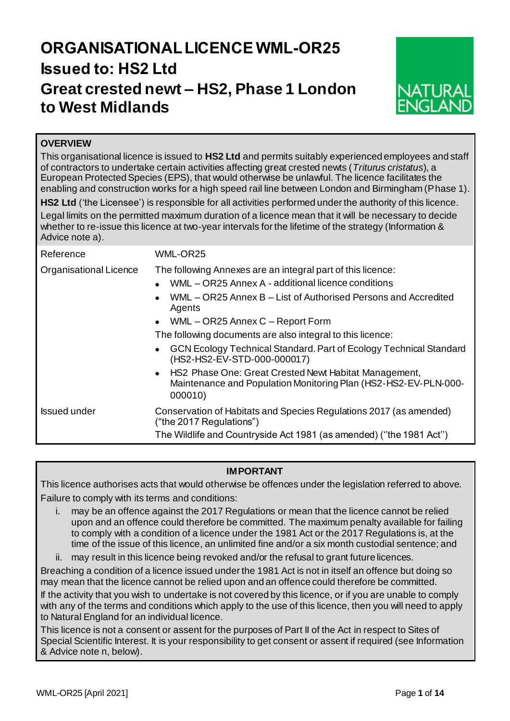# **ORGANISATIONAL LICENCE WML-OR25 Issued to: HS2 Ltd Great crested newt – HS2, Phase 1 London to West Midlands**



# **OVERVIEW**

This organisational licence is issued to **HS2 Ltd** and permits suitably experienced employees and staff of contractors to undertake certain activities affecting great crested newts (*Triturus cristatus*), a European Protected Species (EPS), that would otherwise be unlawful. The licence facilitates the enabling and construction works for a high speed rail line between London and Birmingham (Phase 1).

**HS2 Ltd** ('the Licensee') is responsible for all activities performed under the authority of this licence.

Legal limits on the permitted maximum duration of a licence mean that it will be necessary to decide whether to re-issue this licence at two-year intervals for the lifetime of the strategy (Information & Advice note a).

| Reference              | WML-OR25                                                                                                                                                                                                                                                                                                                                                                                                                                                                                                                                                           |  |  |  |  |  |  |  |
|------------------------|--------------------------------------------------------------------------------------------------------------------------------------------------------------------------------------------------------------------------------------------------------------------------------------------------------------------------------------------------------------------------------------------------------------------------------------------------------------------------------------------------------------------------------------------------------------------|--|--|--|--|--|--|--|
| Organisational Licence | The following Annexes are an integral part of this licence:<br>WML - OR25 Annex A - additional licence conditions<br>$\bullet$<br>WML - OR25 Annex B - List of Authorised Persons and Accredited<br>$\bullet$<br>Agents<br>• WML $-$ OR25 Annex C $-$ Report Form<br>The following documents are also integral to this licence:<br>GCN Ecology Technical Standard. Part of Ecology Technical Standard<br>(HS2-HS2-EV-STD-000-000017)<br>• HS2 Phase One: Great Crested Newt Habitat Management,<br>Maintenance and Population Monitoring Plan (HS2-HS2-EV-PLN-000- |  |  |  |  |  |  |  |
|                        | 000010)                                                                                                                                                                                                                                                                                                                                                                                                                                                                                                                                                            |  |  |  |  |  |  |  |
| <b>Issued under</b>    | Conservation of Habitats and Species Regulations 2017 (as amended)<br>("the 2017 Regulations")                                                                                                                                                                                                                                                                                                                                                                                                                                                                     |  |  |  |  |  |  |  |
|                        | The Wildlife and Countryside Act 1981 (as amended) ("the 1981 Act")                                                                                                                                                                                                                                                                                                                                                                                                                                                                                                |  |  |  |  |  |  |  |

# **IMPORTANT**

This licence authorises acts that would otherwise be offences under the legislation referred to above. Failure to comply with its terms and conditions:

- i. may be an offence against the 2017 Regulations or mean that the licence cannot be relied upon and an offence could therefore be committed. The maximum penalty available for failing to comply with a condition of a licence under the 1981 Act or the 2017 Regulations is, at the time of the issue of this licence, an unlimited fine and/or a six month custodial sentence; and
- ii. may result in this licence being revoked and/or the refusal to grant future licences.

Breaching a condition of a licence issued under the 1981 Act is not in itself an offence but doing so may mean that the licence cannot be relied upon and an offence could therefore be committed.

If the activity that you wish to undertake is not covered by this licence, or if you are unable to comply with any of the terms and conditions which apply to the use of this licence, then you will need to apply to Natural England for an individual licence.

This licence is not a consent or assent for the purposes of Part II of the Act in respect to Sites of Special Scientific Interest. It is your responsibility to get consent or assent if required (see Information & Advice note n, below).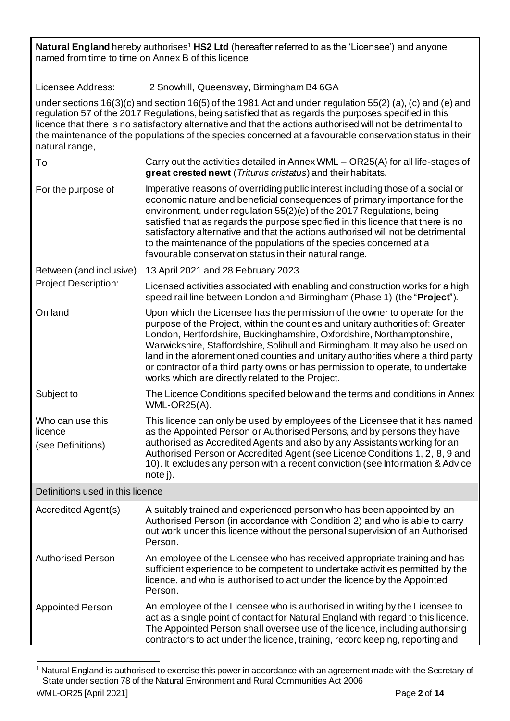| Natural England hereby authorises <sup>1</sup> HS2 Ltd (hereafter referred to as the 'Licensee') and anyone<br>named from time to time on Annex B of this licence                                                                                                                                                                                                                                                                                                    |                                                                                                                                                                                                                                                                                                                                                                                                                                                                                                                                                  |  |  |  |  |  |  |  |  |  |
|----------------------------------------------------------------------------------------------------------------------------------------------------------------------------------------------------------------------------------------------------------------------------------------------------------------------------------------------------------------------------------------------------------------------------------------------------------------------|--------------------------------------------------------------------------------------------------------------------------------------------------------------------------------------------------------------------------------------------------------------------------------------------------------------------------------------------------------------------------------------------------------------------------------------------------------------------------------------------------------------------------------------------------|--|--|--|--|--|--|--|--|--|
| Licensee Address:<br>2 Snowhill, Queensway, Birmingham B4 6GA                                                                                                                                                                                                                                                                                                                                                                                                        |                                                                                                                                                                                                                                                                                                                                                                                                                                                                                                                                                  |  |  |  |  |  |  |  |  |  |
| under sections $16(3)(c)$ and section $16(5)$ of the 1981 Act and under regulation 55(2) (a), (c) and (e) and<br>regulation 57 of the 2017 Regulations, being satisfied that as regards the purposes specified in this<br>licence that there is no satisfactory alternative and that the actions authorised will not be detrimental to<br>the maintenance of the populations of the species concerned at a favourable conservation status in their<br>natural range, |                                                                                                                                                                                                                                                                                                                                                                                                                                                                                                                                                  |  |  |  |  |  |  |  |  |  |
| To                                                                                                                                                                                                                                                                                                                                                                                                                                                                   | Carry out the activities detailed in Annex WML $-$ OR25(A) for all life-stages of<br>great crested newt (Triturus cristatus) and their habitats.                                                                                                                                                                                                                                                                                                                                                                                                 |  |  |  |  |  |  |  |  |  |
| For the purpose of                                                                                                                                                                                                                                                                                                                                                                                                                                                   | Imperative reasons of overriding public interest including those of a social or<br>economic nature and beneficial consequences of primary importance for the<br>environment, under regulation 55(2)(e) of the 2017 Regulations, being<br>satisfied that as regards the purpose specified in this licence that there is no<br>satisfactory alternative and that the actions authorised will not be detrimental<br>to the maintenance of the populations of the species concerned at a<br>favourable conservation status in their natural range.   |  |  |  |  |  |  |  |  |  |
| Between (and inclusive)                                                                                                                                                                                                                                                                                                                                                                                                                                              | 13 April 2021 and 28 February 2023                                                                                                                                                                                                                                                                                                                                                                                                                                                                                                               |  |  |  |  |  |  |  |  |  |
| <b>Project Description:</b>                                                                                                                                                                                                                                                                                                                                                                                                                                          | Licensed activities associated with enabling and construction works for a high<br>speed rail line between London and Birmingham (Phase 1) (the "Project").                                                                                                                                                                                                                                                                                                                                                                                       |  |  |  |  |  |  |  |  |  |
| On land                                                                                                                                                                                                                                                                                                                                                                                                                                                              | Upon which the Licensee has the permission of the owner to operate for the<br>purpose of the Project, within the counties and unitary authorities of: Greater<br>London, Hertfordshire, Buckinghamshire, Oxfordshire, Northamptonshire,<br>Warwickshire, Staffordshire, Solihull and Birmingham. It may also be used on<br>land in the aforementioned counties and unitary authorities where a third party<br>or contractor of a third party owns or has permission to operate, to undertake<br>works which are directly related to the Project. |  |  |  |  |  |  |  |  |  |
| Subject to                                                                                                                                                                                                                                                                                                                                                                                                                                                           | The Licence Conditions specified below and the terms and conditions in Annex<br><b>WML-OR25(A).</b>                                                                                                                                                                                                                                                                                                                                                                                                                                              |  |  |  |  |  |  |  |  |  |
| Who can use this<br>licence<br>(see Definitions)                                                                                                                                                                                                                                                                                                                                                                                                                     | This licence can only be used by employees of the Licensee that it has named<br>as the Appointed Person or Authorised Persons, and by persons they have<br>authorised as Accredited Agents and also by any Assistants working for an<br>Authorised Person or Accredited Agent (see Licence Conditions 1, 2, 8, 9 and<br>10). It excludes any person with a recent conviction (see Information & Advice<br>note j).                                                                                                                               |  |  |  |  |  |  |  |  |  |
| Definitions used in this licence                                                                                                                                                                                                                                                                                                                                                                                                                                     |                                                                                                                                                                                                                                                                                                                                                                                                                                                                                                                                                  |  |  |  |  |  |  |  |  |  |
| Accredited Agent(s)                                                                                                                                                                                                                                                                                                                                                                                                                                                  | A suitably trained and experienced person who has been appointed by an<br>Authorised Person (in accordance with Condition 2) and who is able to carry<br>out work under this licence without the personal supervision of an Authorised<br>Person.                                                                                                                                                                                                                                                                                                |  |  |  |  |  |  |  |  |  |
| <b>Authorised Person</b><br>An employee of the Licensee who has received appropriate training and has<br>sufficient experience to be competent to undertake activities permitted by the<br>licence, and who is authorised to act under the licence by the Appointed<br>Person.                                                                                                                                                                                       |                                                                                                                                                                                                                                                                                                                                                                                                                                                                                                                                                  |  |  |  |  |  |  |  |  |  |
| <b>Appointed Person</b>                                                                                                                                                                                                                                                                                                                                                                                                                                              | An employee of the Licensee who is authorised in writing by the Licensee to<br>act as a single point of contact for Natural England with regard to this licence.<br>The Appointed Person shall oversee use of the licence, including authorising<br>contractors to act under the licence, training, record keeping, reporting and                                                                                                                                                                                                                |  |  |  |  |  |  |  |  |  |

l  $1$  Natural England is authorised to exercise this power in accordance with an agreement made with the Secretary of State under section 78 of the Natural Environment and Rural Communities Act 2006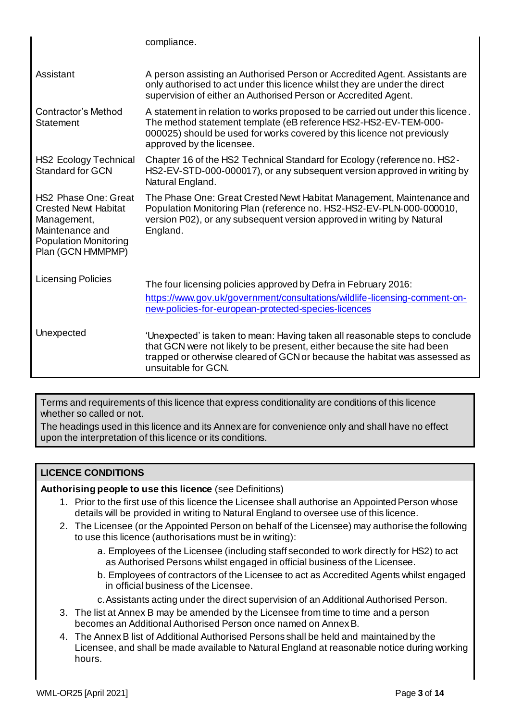|                                                                                                                                                   | compliance.                                                                                                                                                                                                                                                   |  |  |  |  |  |  |
|---------------------------------------------------------------------------------------------------------------------------------------------------|---------------------------------------------------------------------------------------------------------------------------------------------------------------------------------------------------------------------------------------------------------------|--|--|--|--|--|--|
| Assistant                                                                                                                                         | A person assisting an Authorised Person or Accredited Agent. Assistants are<br>only authorised to act under this licence whilst they are under the direct<br>supervision of either an Authorised Person or Accredited Agent.                                  |  |  |  |  |  |  |
| <b>Contractor's Method</b><br>Statement                                                                                                           | A statement in relation to works proposed to be carried out under this licence.<br>The method statement template (eB reference HS2-HS2-EV-TEM-000-<br>000025) should be used for works covered by this licence not previously<br>approved by the licensee.    |  |  |  |  |  |  |
| <b>HS2 Ecology Technical</b><br><b>Standard for GCN</b>                                                                                           | Chapter 16 of the HS2 Technical Standard for Ecology (reference no. HS2 -<br>HS2-EV-STD-000-000017), or any subsequent version approved in writing by<br>Natural England.                                                                                     |  |  |  |  |  |  |
| <b>HS2 Phase One: Great</b><br><b>Crested Newt Habitat</b><br>Management,<br>Maintenance and<br><b>Population Monitoring</b><br>Plan (GCN HMMPMP) | The Phase One: Great Crested Newt Habitat Management, Maintenance and<br>Population Monitoring Plan (reference no. HS2-HS2-EV-PLN-000-000010,<br>version P02), or any subsequent version approved in writing by Natural<br>England.                           |  |  |  |  |  |  |
| <b>Licensing Policies</b>                                                                                                                         | The four licensing policies approved by Defra in February 2016:<br>https://www.gov.uk/government/consultations/wildlife-licensing-comment-on-<br>new-policies-for-european-protected-species-licences                                                         |  |  |  |  |  |  |
| Unexpected                                                                                                                                        | 'Unexpected' is taken to mean: Having taken all reasonable steps to conclude<br>that GCN were not likely to be present, either because the site had been<br>trapped or otherwise cleared of GCN or because the habitat was assessed as<br>unsuitable for GCN. |  |  |  |  |  |  |

Terms and requirements of this licence that express conditionality are conditions of this licence whether so called or not.

The headings used in this licence and its Annex are for convenience only and shall have no effect upon the interpretation of this licence or its conditions.

# **LICENCE CONDITIONS**

**Authorising people to use this licence** (see Definitions)

- 1. Prior to the first use of this licence the Licensee shall authorise an Appointed Person whose details will be provided in writing to Natural England to oversee use of this licence.
- 2. The Licensee (or the Appointed Person on behalf of the Licensee) may authorise the following to use this licence (authorisations must be in writing):
	- a. Employees of the Licensee (including staff seconded to work directly for HS2) to act as Authorised Persons whilst engaged in official business of the Licensee.
	- b. Employees of contractors of the Licensee to act as Accredited Agents whilst engaged in official business of the Licensee.
	- c.Assistants acting under the direct supervision of an Additional Authorised Person.
- 3. The list at Annex B may be amended by the Licensee from time to time and a person becomes an Additional Authorised Person once named on Annex B.
- 4. The Annex B list of Additional Authorised Persons shall be held and maintained by the Licensee, and shall be made available to Natural England at reasonable notice during working hours.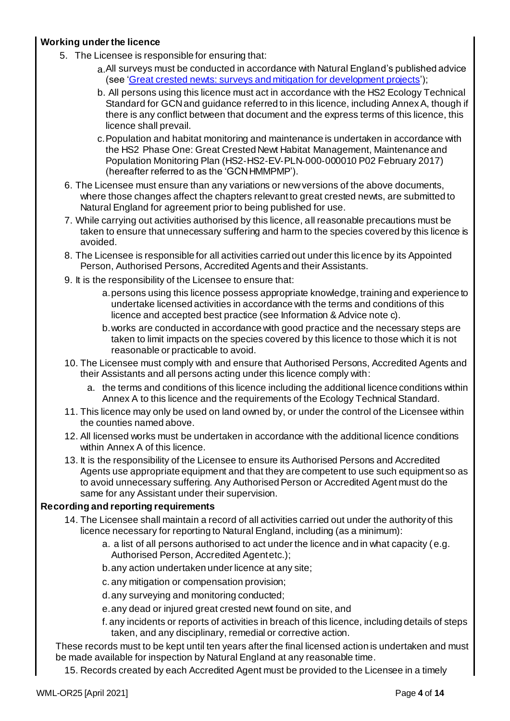# **Working under the licence**

- 5. The Licensee is responsible for ensuring that:
	- a.All surveys must be conducted in accordance with Natural England's published advice (see ['Great crested newts: surveys and mitigation for development projects](https://www.gov.uk/guidance/great-crested-newts-surveys-and-mitigation-for-development-projects)');
	- b. All persons using this licence must act in accordance with the HS2 Ecology Technical Standard for GCN and guidance referred to in this licence, including Annex A, though if there is any conflict between that document and the express terms of this licence, this licence shall prevail.
	- c.Population and habitat monitoring and maintenance is undertaken in accordance with the HS2 Phase One: Great Crested Newt Habitat Management, Maintenance and Population Monitoring Plan (HS2‐HS2‐EV‐PLN‐000‐000010 P02 February 2017) (hereafter referred to as the 'GCNHMMPMP').
	- 6. The Licensee must ensure than any variations or new versions of the above documents, where those changes affect the chapters relevant to great crested newts, are submitted to Natural England for agreement prior to being published for use.
	- 7. While carrying out activities authorised by this licence, all reasonable precautions must be taken to ensure that unnecessary suffering and harm to the species covered by this licence is avoided.
	- 8. The Licensee is responsible for all activities carried out under this licence by its Appointed Person, Authorised Persons, Accredited Agents and their Assistants.
	- 9. It is the responsibility of the Licensee to ensure that:
		- a.persons using this licence possess appropriate knowledge, training and experience to undertake licensed activities in accordance with the terms and conditions of this licence and accepted best practice (see Information & Advice note c).
		- b.works are conducted in accordance with good practice and the necessary steps are taken to limit impacts on the species covered by this licence to those which it is not reasonable or practicable to avoid.
	- 10. The Licensee must comply with and ensure that Authorised Persons, Accredited Agents and their Assistants and all persons acting under this licence comply with:
		- a. the terms and conditions of this licence including the additional licence conditions within Annex A to this licence and the requirements of the Ecology Technical Standard.
	- 11. This licence may only be used on land owned by, or under the control of the Licensee within the counties named above.
	- 12. All licensed works must be undertaken in accordance with the additional licence conditions within Annex A of this licence.
	- 13. It is the responsibility of the Licensee to ensure its Authorised Persons and Accredited Agents use appropriate equipment and that they are competent to use such equipment so as to avoid unnecessary suffering. Any Authorised Person or Accredited Agent must do the same for any Assistant under their supervision.

# **Recording and reporting requirements**

- 14. The Licensee shall maintain a record of all activities carried out under the authority of this licence necessary for reporting to Natural England, including (as a minimum):
	- a. a list of all persons authorised to act under the licence and in what capacity (e.g. Authorised Person, Accredited Agentetc.);
	- b.any action undertaken under licence at any site;
	- c. any mitigation or compensation provision;
	- d.any surveying and monitoring conducted;
	- e.any dead or injured great crested newt found on site, and
	- f. any incidents or reports of activities in breach of this licence, including details of steps taken, and any disciplinary, remedial or corrective action.

These records must to be kept until ten years after the final licensed action is undertaken and must be made available for inspection by Natural England at any reasonable time.

15. Records created by each Accredited Agent must be provided to the Licensee in a timely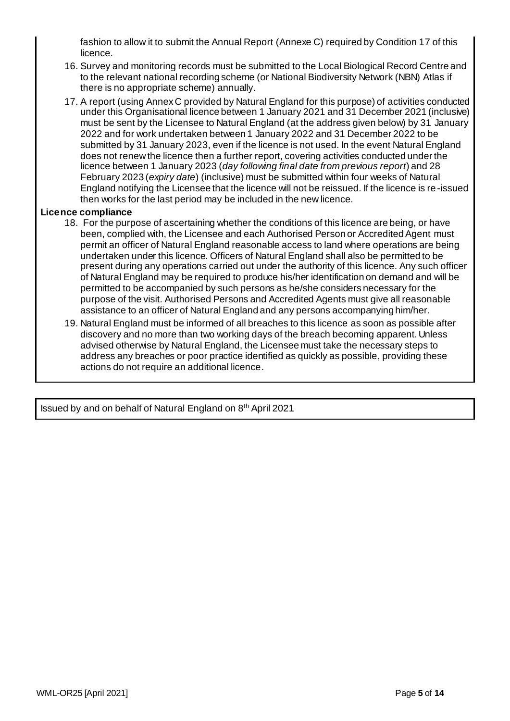fashion to allow it to submit the Annual Report (Annexe C) required by Condition 17 of this licence.

- 16. Survey and monitoring records must be submitted to the Local Biological Record Centre and to the relevant national recording scheme (or National Biodiversity Network (NBN) Atlas if there is no appropriate scheme) annually.
- 17. A report (using Annex C provided by Natural England for this purpose) of activities conducted under this Organisational licence between 1 January 2021 and 31 December 2021 (inclusive) must be sent by the Licensee to Natural England (at the address given below) by 31 January 2022 and for work undertaken between 1 January 2022 and 31 December 2022 to be submitted by 31 January 2023, even if the licence is not used. In the event Natural England does not renew the licence then a further report, covering activities conducted under the licence between 1 January 2023 (*day following final date from previous report*) and 28 February 2023 (*expiry date*) (inclusive) must be submitted within four weeks of Natural England notifying the Licensee that the licence will not be reissued. If the licence is re-issued then works for the last period may be included in the new licence.

# **Licence compliance**

- 18. For the purpose of ascertaining whether the conditions of this licence are being, or have been, complied with, the Licensee and each Authorised Person or Accredited Agent must permit an officer of Natural England reasonable access to land where operations are being undertaken under this licence. Officers of Natural England shall also be permitted to be present during any operations carried out under the authority of this licence. Any such officer of Natural England may be required to produce his/her identification on demand and will be permitted to be accompanied by such persons as he/she considers necessary for the purpose of the visit. Authorised Persons and Accredited Agents must give all reasonable assistance to an officer of Natural England and any persons accompanying him/her.
- 19. Natural England must be informed of all breaches to this licence as soon as possible after discovery and no more than two working days of the breach becoming apparent. Unless advised otherwise by Natural England, the Licensee must take the necessary steps to address any breaches or poor practice identified as quickly as possible, providing these actions do not require an additional licence.

Issued by and on behalf of Natural England on 8 th April 2021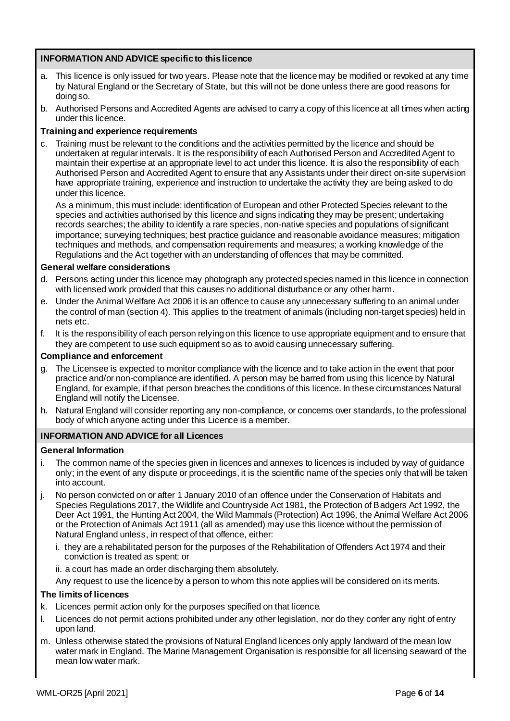# **INFORMATION AND ADVICE specific to this licence**

- This licence is only issued for two years. Please note that the licence may be modified or revoked at any time by Natural England or the Secretary of State, but this will not be done unless there are good reasons for doing so.
- b. Authorised Persons and Accredited Agents are advised to carry a copy of this licence at all times when acting under this licence.

## **Training and experience requirements**

c. Training must be relevant to the conditions and the activities permitted by the licence and should be undertaken at regular intervals. It is the responsibility of each Authorised Person and Accredited Agent to maintain their expertise at an appropriate level to act under this licence. It is also the responsibility of each Authorised Person and Accredited Agent to ensure that any Assistants under their direct on-site supervision have appropriate training, experience and instruction to undertake the activity they are being asked to do under this licence.

As a minimum, this must include: identification of European and other Protected Species relevant to the species and activities authorised by this licence and signs indicating they may be present; undertaking records searches; the ability to identify a rare species, non-native species and populations of significant importance; surveying techniques; best practice guidance and reasonable avoidance measures; mitigation techniques and methods, and compensation requirements and measures; a working knowledge of the Regulations and the Act together with an understanding of offences that may be committed.

### **General welfare considerations**

- d. Persons acting under this licence may photograph any protected species named in this licence in connection with licensed work provided that this causes no additional disturbance or any other harm.
- e. Under the Animal Welfare Act 2006 it is an offence to cause any unnecessary suffering to an animal under the control of man (section 4). This applies to the treatment of animals (including non-target species) held in nets etc.
- f. It is the responsibility of each person relying on this licence to use appropriate equipment and to ensure that they are competent to use such equipment so as to avoid causing unnecessary suffering.

## **Compliance and enforcement**

- g. The Licensee is expected to monitor compliance with the licence and to take action in the event that poor practice and/or non-compliance are identified. A person may be barred from using this licence by Natural England, for example, if that person breaches the conditions of this licence. In these circumstances Natural England will notify the Licensee.
- h. Natural England will consider reporting any non-compliance, or concerns over standards, to the professional body of which anyone acting under this Licence is a member.

## **INFORMATION AND ADVICE for all Licences**

#### **General Information**

- i. The common name of the species given in licences and annexes to licences is included by way of guidance only; in the event of any dispute or proceedings, it is the scientific name of the species only that will be taken into account.
- j. No person convicted on or after 1 January 2010 of an offence under the Conservation of Habitats and Species Regulations 2017, the Wildlife and Countryside Act 1981, the Protection of Badgers Act 1992, the Deer Act 1991, the Hunting Act 2004, the Wild Mammals (Protection) Act 1996, the Animal Welfare Act 2006 or the Protection of Animals Act 1911 (all as amended) may use this licence without the permission of Natural England unless, in respect of that offence, either:
	- i. they are a rehabilitated person for the purposes of the Rehabilitation of Offenders Act 1974 and their conviction is treated as spent; or
	- ii. a court has made an order discharging them absolutely.

Any request to use the licence by a person to whom this note applies will be considered on its merits.

### **The limits of licences**

- k. Licences permit action only for the purposes specified on that licence.
- l. Licences do not permit actions prohibited under any other legislation, nor do they confer any right of entry upon land.
- m. Unless otherwise stated the provisions of Natural England licences only apply landward of the mean low water mark in England. The Marine Management Organisation is responsible for all licensing seaward of the mean low water mark.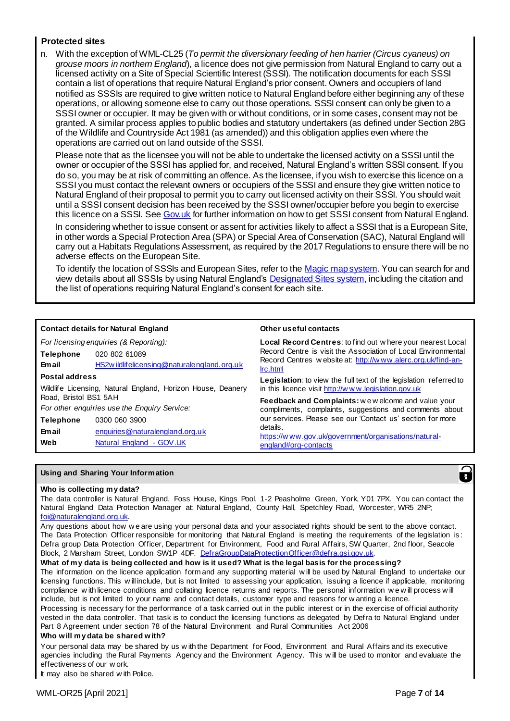## **Protected sites**

n. With the exception of WML-CL25 (*To permit the diversionary feeding of hen harrier (Circus cyaneus) on grouse moors in northern England*), a licence does not give permission from Natural England to carry out a licensed activity on a Site of Special Scientific Interest (SSSI). The notification documents for each SSSI contain a list of operations that require Natural England's prior consent. Owners and occupiers of land notified as SSSIs are required to give written notice to Natural England before either beginning any of these operations, or allowing someone else to carry out those operations. SSSI consent can only be given to a SSSI owner or occupier. It may be given with or without conditions, or in some cases, consent may not be granted. A similar process applies to public bodies and statutory undertakers (as defined under Section 28G of the Wildlife and Countryside Act 1981 (as amended)) and this obligation applies even where the operations are carried out on land outside of the SSSI.

Please note that as the licensee you will not be able to undertake the licensed activity on a SSSI until the owner or occupier of the SSSI has applied for, and received, Natural England's written SSSI consent. If you do so, you may be at risk of committing an offence. As the licensee, if you wish to exercise this licence on a SSSI you must contact the relevant owners or occupiers of the SSSI and ensure they give written notice to Natural England of their proposal to permit you to carry out licensed activity on their SSSI. You should wait until a SSSI consent decision has been received by the SSSI owner/occupier before you begin to exercise this licence on a SSSI. See Gov.uk for further information on how to get SSSI consent from Natural England.

In considering whether to issue consent or assent for activities likely to affect a SSSI that is a European Site, in other words a Special Protection Area (SPA) or Special Area of Conservation (SAC), Natural England will carry out a Habitats Regulations Assessment, as required by the 2017 Regulations to ensure there will be no adverse effects on the European Site.

To identify the location of SSSIs and European Sites, refer to th[e Magic map system](https://magic.defra.gov.uk/MagicMap.aspx?chosenLayers=sssiPIndex,sssiIndex,backdropDIndex,backdropIndex,europeIndex,vmlBWIndex,25kBWIndex,50kBWIndex,250kBWIndex,miniscaleBWIndex,baseIndex&box=-187122:5095:1034155:705095&useDefaultbackgroundMapping=false). You can search for and view details about all SSSIs by using Natural England'[s Designated Sites system](https://designatedsites.naturalengland.org.uk/SiteSearch.aspx), including the citation and the list of operations requiring Natural England's consent for each site.

|                       | <b>Contact details for Natural England</b>                  | Other useful contacts                                                                                                           |  |  |  |  |
|-----------------------|-------------------------------------------------------------|---------------------------------------------------------------------------------------------------------------------------------|--|--|--|--|
|                       | For licensing enquiries (& Reporting):                      | Local Record Centres: to find out where your nearest Local<br>Record Centre is visit the Association of Local Environmental     |  |  |  |  |
| <b>Telephone</b>      | 020 802 61089                                               |                                                                                                                                 |  |  |  |  |
| <b>Email</b>          | HS2w ildlifelicensing@naturalengland.org.uk                 | Record Centres w ebsite at: http://www.alerc.org.uk/find-an-<br>Irc.html                                                        |  |  |  |  |
| Postal address        |                                                             | <b>Legislation:</b> to view the full text of the legislation referred to<br>in this licence visit http://www.legislation.gov.uk |  |  |  |  |
|                       | Wildlife Licensing, Natural England, Horizon House, Deanery |                                                                                                                                 |  |  |  |  |
| Road. Bristol BS1 5AH |                                                             | Feedback and Complaints: we welcome and value your<br>compliments, complaints, suggestions and comments about                   |  |  |  |  |
|                       | For other enquiries use the Enquiry Service:                |                                                                                                                                 |  |  |  |  |
| <b>Telephone</b>      | 0300 060 3900                                               | our services. Please see our 'Contact us' section for more                                                                      |  |  |  |  |
| <b>Email</b>          | enquiries@naturalengland.org.uk                             | details.                                                                                                                        |  |  |  |  |
| Web                   | Natural England - GOV.UK                                    | https://www.gov.uk/government/organisations/natural-<br>england#org-contacts                                                    |  |  |  |  |

#### **Using and Sharing Your Information**



#### **Who is collecting my data?**

The data controller is Natural England, Foss House, Kings Pool, 1-2 Peasholme Green, York, Y01 7PX. You can contact the Natural England Data Protection Manager at: Natural England, County Hall, Spetchley Road, Worcester, WR5 2NP; [foi@naturalengland.org.uk.](mailto:foi@naturalengland.org.uk)

Any questions about how w e are using your personal data and your associated rights should be sent to the above contact. The Data Protection Officer responsible for monitoring that Natural England is meeting the requirements of the legislation is : Defra group Data Protection Officer, Department for Environment, Food and Rural Affairs, SW Quarter, 2nd floor, Seacole Block, 2 Marsham Street, London SW1P 4DF. DefraGroupDataProtectionOfficer@defra.gsi.gov.uk

#### **What of my data is being collected and how is it used? What is the legal basis for the processing?**

The information on the licence application form and any supporting material w ill be used by Natural England to undertake our licensing functions. This w ill include, but is not limited to assessing your application, issuing a licence if applicable, monitoring compliance w ith licence conditions and collating licence returns and reports. The personal information w e w ill process w ill include, but is not limited to your name and contact details, customer type and reasons for w anting a licence.

Processing is necessary for the performance of a task carried out in the public interest or in the exercise of official authority vested in the data controller. That task is to conduct the licensing functions as delegated by Defra to Natural England under Part 8 Agreement under section 78 of the Natural Environment and Rural Communities Act 2006

#### **Who will my data be shared with?**

Your personal data may be shared by us w ith the Department for Food, Environment and Rural Affairs and its executive agencies including the Rural Payments Agency and the Environment Agency. This w ill be used to monitor and evaluate the effectiveness of our w ork.

It may also be shared w ith Police.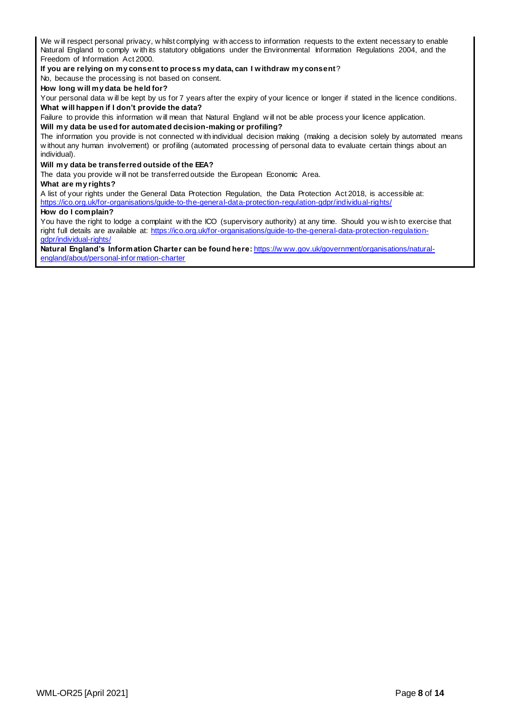We will respect personal privacy, w hilst complying with access to information requests to the extent necessary to enable Natural England to comply w ith its statutory obligations under the Environmental Information Regulations 2004, and the Freedom of Information Act 2000.

**If you are relying on my consent to process my data, can I withdraw my consent**?

No, because the processing is not based on consent.

#### **How long will my data be held for?**

Your personal data w ill be kept by us for 7 years after the expiry of your licence or longer if stated in the licence conditions. **What will happen if I don't provide the data?**

Failure to provide this information w ill mean that Natural England w ill not be able process your licence application.

#### **Will my data be used for automated decision-making or profiling?**

The information you provide is not connected w ith individual decision making (making a decision solely by automated means w ithout any human involvement) or profiling (automated processing of personal data to evaluate certain things about an individual).

#### **Will my data be transferred outside of the EEA?**

The data you provide w ill not be transferred outside the European Economic Area.

#### **What are my rights?**

A list of your rights under the General Data Protection Regulation, the Data Protection Act 2018, is accessible at: <https://ico.org.uk/for-organisations/guide-to-the-general-data-protection-regulation-gdpr/individual-rights/>

#### **How do I complain?**

You have the right to lodge a complaint w ith the ICO (supervisory authority) at any time. Should you w ish to exercise that right full details are available at: [https://ico.org.uk/for-organisations/guide-to-the-general-data-protection-regulation](https://ico.org.uk/for-organisations/guide-to-the-general-data-protection-regulation-gdpr/individual-rights/)[gdpr/individual-rights/](https://ico.org.uk/for-organisations/guide-to-the-general-data-protection-regulation-gdpr/individual-rights/)

**Natural England's Information Charter can be found here:** [https://w ww.gov.uk/government/organisations/natural](https://www.gov.uk/government/organisations/natural-england/about/personal-information-charter)[england/about/personal-information-charter](https://www.gov.uk/government/organisations/natural-england/about/personal-information-charter)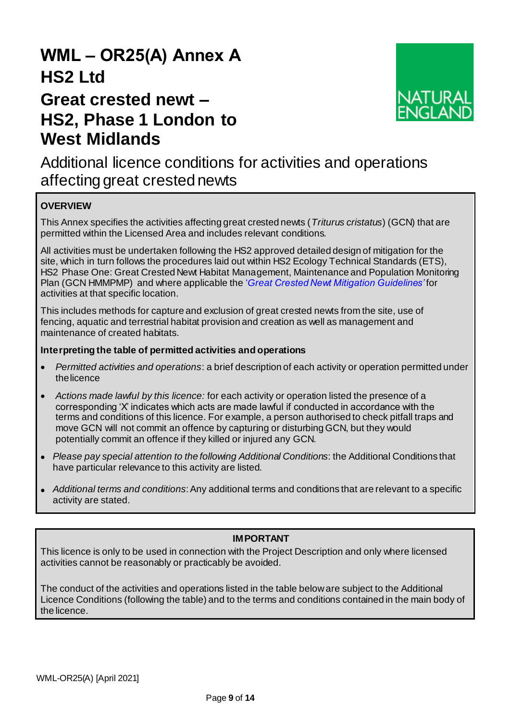# **WML – OR25(A) Annex A HS2 Ltd**

# **Great crested newt – HS2, Phase 1 London to West Midlands**



Additional licence conditions for activities and operations affecting great crested newts

# **OVERVIEW**

This Annex specifies the activities affecting great crested newts (*Triturus cristatus*) (GCN) that are permitted within the Licensed Area and includes relevant conditions.

All activities must be undertaken following the HS2 approved detailed design of mitigation for the site, which in turn follows the procedures laid out within HS2 Ecology Technical Standards (ETS), HS2 Phase One: Great Crested Newt Habitat Management, Maintenance and Population Monitoring Plan (GCN HMMPMP) and where applicable the '*[Great Crested Newt Mitigation Guidelines'](https://www.gov.uk/guidance/great-crested-newts-surveys-and-mitigation-for-development-projects)* for activities at that specific location.

This includes methods for capture and exclusion of great crested newts from the site, use of fencing, aquatic and terrestrial habitat provision and creation as well as management and maintenance of created habitats.

# **Interpreting the table of permitted activities and operations**

- *Permitted activities and operations*: a brief description of each activity or operation permitted under thelicence
- *Actions made lawful by this licence:* for each activity or operation listed the presence of a corresponding 'X' indicates which acts are made lawful if conducted in accordance with the terms and conditions of this licence. For example, a person authorised to check pitfall traps and move GCN will not commit an offence by capturing or disturbing GCN, but they would potentially commit an offence if they killed or injured any GCN.
- *Please pay special attention to the following Additional Conditions*: the Additional Conditions that have particular relevance to this activity are listed.
- *Additional terms and conditions*: Any additional terms and conditions that are relevant to a specific activity are stated.

# **IMPORTANT**

This licence is only to be used in connection with the Project Description and only where licensed activities cannot be reasonably or practicably be avoided.

The conduct of the activities and operations listed in the table below are subject to the Additional Licence Conditions (following the table) and to the terms and conditions contained in the main body of the licence.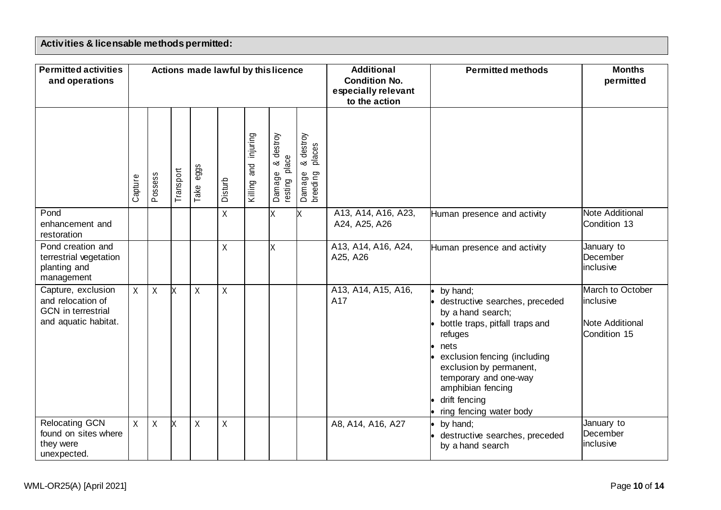# **Activities & licensable methods permitted:**

| <b>Permitted activities</b><br>and operations                                                |         |              |           |              |             |                            | Actions made lawful by this licence                                                    |                                              | <b>Additional</b><br><b>Condition No.</b><br>especially relevant<br>to the action | <b>Permitted methods</b>                                                                                                                                                                                                                                                   | <b>Months</b><br>permitted                                              |
|----------------------------------------------------------------------------------------------|---------|--------------|-----------|--------------|-------------|----------------------------|----------------------------------------------------------------------------------------|----------------------------------------------|-----------------------------------------------------------------------------------|----------------------------------------------------------------------------------------------------------------------------------------------------------------------------------------------------------------------------------------------------------------------------|-------------------------------------------------------------------------|
|                                                                                              | Capture | Possess      | Transport | eggs<br>Take | Disturb     | injuring<br>and<br>Killing | destroy<br>$\mathbf \omega$<br>မ္လ<br>∞ర<br>ᄒ<br>$\mathbf \omega$<br>Damage<br>resting | destroy<br>places<br>ಜ<br>Damage<br>breeding |                                                                                   |                                                                                                                                                                                                                                                                            |                                                                         |
| Pond<br>enhancement and<br>restoration                                                       |         |              |           |              | $\sf X$     |                            | X                                                                                      | X                                            | A13, A14, A16, A23,<br>A24, A25, A26                                              | Human presence and activity                                                                                                                                                                                                                                                | Note Additional<br>Condition 13                                         |
| Pond creation and<br>terrestrial vegetation<br>planting and<br>management                    |         |              |           |              | $\sf X$     |                            | X                                                                                      |                                              | A13, A14, A16, A24,<br>A25, A26                                                   | Human presence and activity                                                                                                                                                                                                                                                | January to<br>December<br>inclusive                                     |
| Capture, exclusion<br>and relocation of<br><b>GCN</b> in terrestrial<br>and aquatic habitat. | X       | $\mathsf{X}$ | lx        | $\sf X$      | $\sf X$     |                            |                                                                                        |                                              | A13, A14, A15, A16,<br>A17                                                        | by hand;<br>destructive searches, preceded<br>by a hand search;<br>bottle traps, pitfall traps and<br>refuges<br>nets<br>exclusion fencing (including<br>exclusion by permanent,<br>temporary and one-way<br>amphibian fencing<br>drift fencing<br>ring fencing water body | March to October<br>inclusive<br><b>Note Additional</b><br>Condition 15 |
| <b>Relocating GCN</b><br>found on sites where<br>they were<br>unexpected.                    | X       | $\sf X$      | X         | Χ            | $\mathsf X$ |                            |                                                                                        |                                              | A8, A14, A16, A27                                                                 | by hand;<br>destructive searches, preceded<br>by a hand search                                                                                                                                                                                                             | January to<br>December<br>inclusive                                     |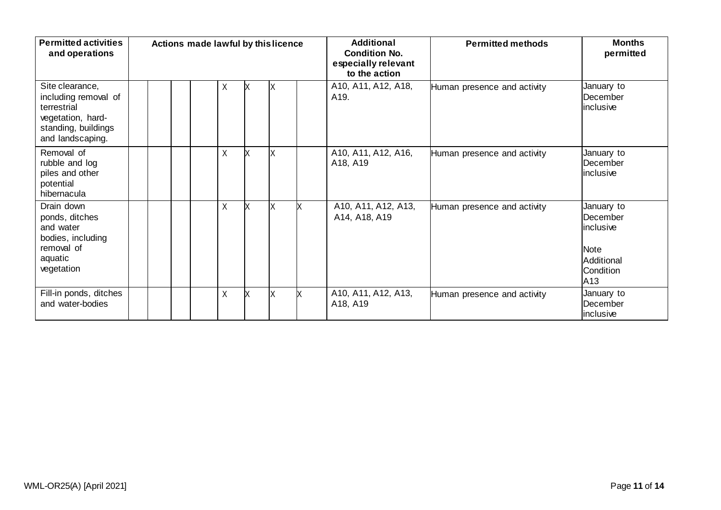| <b>Permitted activities</b><br>and operations                                                                          |  | Actions made lawful by this licence |         |    |   |    | <b>Additional</b><br><b>Condition No.</b><br>especially relevant<br>to the action | <b>Permitted methods</b>    | <b>Months</b><br>permitted                                                                        |
|------------------------------------------------------------------------------------------------------------------------|--|-------------------------------------|---------|----|---|----|-----------------------------------------------------------------------------------|-----------------------------|---------------------------------------------------------------------------------------------------|
| Site clearance,<br>including removal of<br>terrestrial<br>vegetation, hard-<br>standing, buildings<br>and landscaping. |  |                                     | X       | X  | X |    | A10, A11, A12, A18,<br>A <sub>19</sub> .                                          | Human presence and activity | January to<br>December<br>inclusive                                                               |
| Removal of<br>rubble and log<br>piles and other<br>potential<br>hibernacula                                            |  |                                     | Χ       | X  | X |    | A10, A11, A12, A16,<br>A18, A19                                                   | Human presence and activity | January to<br>December<br>inclusive                                                               |
| Drain down<br>ponds, ditches<br>and water<br>bodies, including<br>removal of<br>aquatic<br>vegetation                  |  |                                     | Χ       | lx | X | lx | A10, A11, A12, A13,<br>A14, A18, A19                                              | Human presence and activity | January to<br>December<br>linclusive<br><b>Note</b><br>Additional<br>Condition<br>A <sub>13</sub> |
| Fill-in ponds, ditches<br>and water-bodies                                                                             |  |                                     | $\sf X$ | X  | X | IX | A10, A11, A12, A13,<br>A18, A19                                                   | Human presence and activity | January to<br>December<br>inclusive                                                               |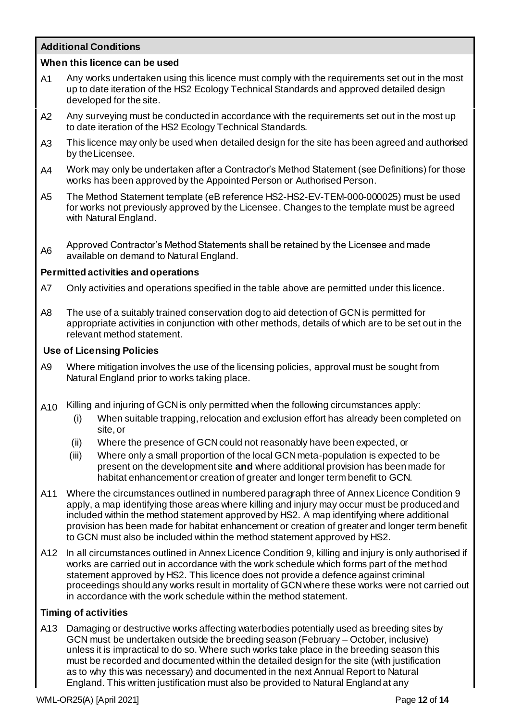# **Additional Conditions**

# **When this licence can be used**

- A1 Any works undertaken using this licence must comply with the requirements set out in the most up to date iteration of the HS2 Ecology Technical Standards and approved detailed design developed for the site.
- A2 Any surveying must be conducted in accordance with the requirements set out in the most up to date iteration of the HS2 Ecology Technical Standards.
- A3 This licence may only be used when detailed design for the site has been agreed and authorised by theLicensee.
- A4 Work may only be undertaken after a Contractor's Method Statement (see Definitions) for those works has been approved by the Appointed Person or Authorised Person.
- A5 The Method Statement template (eB reference HS2-HS2-EV-TEM-000-000025) must be used for works not previously approved by the Licensee. Changes to the template must be agreed with Natural England.
- A6 Approved Contractor's Method Statements shall be retained by the Licensee and made available on demand to Natural England.

## **Permitted activities and operations**

- A7 Only activities and operations specified in the table above are permitted under this licence.
- A8 The use of a suitably trained conservation dog to aid detection of GCN is permitted for appropriate activities in conjunction with other methods, details of which are to be set out in the relevant method statement.

## **Use of Licensing Policies**

- A9 Where mitigation involves the use of the licensing policies, approval must be sought from Natural England prior to works taking place.
- A10 Killing and injuring of GCN is only permitted when the following circumstances apply:
	- (i) When suitable trapping, relocation and exclusion effort has already been completed on site, or
	- (ii) Where the presence of GCN could not reasonably have been expected, or
	- (iii) Where only a small proportion of the local GCN meta-population is expected to be present on the development site **and** where additional provision has been made for habitat enhancement or creation of greater and longer term benefit to GCN.
- A11 Where the circumstances outlined in numbered paragraph three of Annex Licence Condition 9 apply, a map identifying those areas where killing and injury may occur must be produced and included within the method statement approved by HS2. A map identifying where additional provision has been made for habitat enhancement or creation of greater and longer term benefit to GCN must also be included within the method statement approved by HS2.
- A12 In all circumstances outlined in Annex Licence Condition 9, killing and injury is only authorised if works are carried out in accordance with the work schedule which forms part of the method statement approved by HS2. This licence does not provide a defence against criminal proceedings should any works result in mortality of GCN where these works were not carried out in accordance with the work schedule within the method statement.

# **Timing of activities**

A13 Damaging or destructive works affecting waterbodies potentially used as breeding sites by GCN must be undertaken outside the breeding season (February – October, inclusive) unless it is impractical to do so. Where such works take place in the breeding season this must be recorded and documented within the detailed design for the site (with justification as to why this was necessary) and documented in the next Annual Report to Natural England. This written justification must also be provided to Natural England at any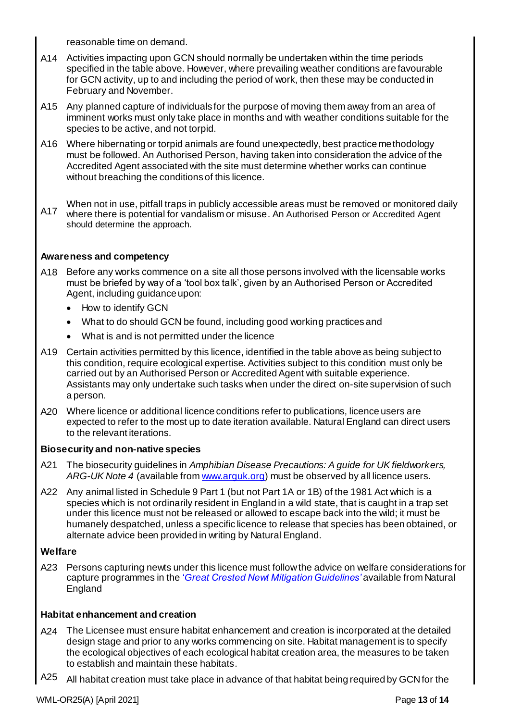reasonable time on demand.

- A14 Activities impacting upon GCN should normally be undertaken within the time periods specified in the table above. However, where prevailing weather conditions are favourable for GCN activity, up to and including the period of work, then these may be conducted in February and November.
- A15 Any planned capture of individuals for the purpose of moving them away from an area of imminent works must only take place in months and with weather conditions suitable for the species to be active, and not torpid.
- A16 Where hibernating or torpid animals are found unexpectedly, best practice methodology must be followed. An Authorised Person, having taken into consideration the advice of the Accredited Agent associated with the site must determine whether works can continue without breaching the conditions of this licence.
- A17 When not in use, pitfall traps in publicly accessible areas must be removed or monitored daily where there is potential for vandalism or misuse. An Authorised Person or Accredited Agent should determine the approach.

# **Awareness and competency**

- A18 Before any works commence on a site all those persons involved with the licensable works must be briefed by way of a 'tool box talk', given by an Authorised Person or Accredited Agent, including guidance upon:
	- How to identify GCN
	- What to do should GCN be found, including good working practices and
	- What is and is not permitted under the licence
- A19 Certain activities permitted by this licence, identified in the table above as being subject to this condition, require ecological expertise. Activities subject to this condition must only be carried out by an Authorised Person or Accredited Agent with suitable experience. Assistants may only undertake such tasks when under the direct on-site supervision of such a person.
- A20 Where licence or additional licence conditions refer to publications, licence users are expected to refer to the most up to date iteration available. Natural England can direct users to the relevant iterations.

# **Biosecurity and non-native species**

- A21 The biosecurity guidelines in *Amphibian Disease Precautions: A guide for UK fieldworkers, ARG-UK Note 4* (available from www.arguk.org) must be observed by all licence users.
- A22 Any animal listed in Schedule 9 Part 1 (but not Part 1A or 1B) of the 1981 Act which is a species which is not ordinarily resident in England in a wild state, that is caught in a trap set under this licence must not be released or allowed to escape back into the wild; it must be humanely despatched, unless a specific licence to release that species has been obtained, or alternate advice been provided in writing by Natural England.

# **Welfare**

A23 Persons capturing newts under this licence must follow the advice on welfare considerations for capture programmes in the '*[Great Crested Newt Mitigation Guidelines'](https://www.gov.uk/guidance/great-crested-newts-surveys-and-mitigation-for-development-projects)* available from Natural England

# **Habitat enhancement and creation**

- A24 The Licensee must ensure habitat enhancement and creation is incorporated at the detailed design stage and prior to any works commencing on site. Habitat management is to specify the ecological objectives of each ecological habitat creation area, the measures to be taken to establish and maintain these habitats.
- A25 All habitat creation must take place in advance of that habitat being required by GCN for the